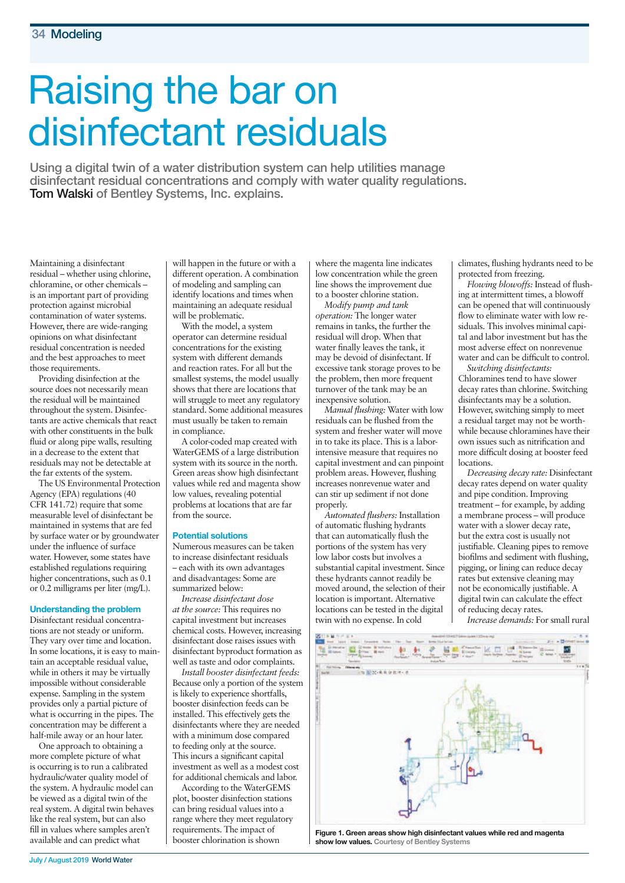# Raising the bar on disinfectant residuals

**Using a digital twin of a water distribution system can help utilities manage disinfectant residual concentrations and comply with water quality regulations. Tom Walski of Bentley Systems, Inc. explains.**

Maintaining a disinfectant residual – whether using chlorine, chloramine, or other chemicals – is an important part of providing protection against microbial contamination of water systems. However, there are wide-ranging opinions on what disinfectant residual concentration is needed and the best approaches to meet those requirements.

Providing disinfection at the source does not necessarily mean the residual will be maintained throughout the system. Disinfectants are active chemicals that react with other constituents in the bulk fluid or along pipe walls, resulting in a decrease to the extent that residuals may not be detectable at the far extents of the system.

The US Environmental Protection Agency (EPA) regulations (40 CFR 141.72) require that some measurable level of disinfectant be maintained in systems that are fed by surface water or by groundwater under the influence of surface water. However, some states have established regulations requiring higher concentrations, such as 0.1 or 0.2 milligrams per liter (mg/L).

# **Understanding the problem**

Disinfectant residual concentrations are not steady or uniform. They vary over time and location. In some locations, it is easy to maintain an acceptable residual value, while in others it may be virtually impossible without considerable expense. Sampling in the system provides only a partial picture of what is occurring in the pipes. The concentration may be different a half-mile away or an hour later.

One approach to obtaining a more complete picture of what is occurring is to run a calibrated hydraulic/water quality model of the system. A hydraulic model can be viewed as a digital twin of the real system. A digital twin behaves like the real system, but can also fill in values where samples aren't available and can predict what

will happen in the future or with a different operation. A combination of modeling and sampling can identify locations and times when maintaining an adequate residual will be problematic.

With the model, a system operator can determine residual concentrations for the existing system with different demands and reaction rates. For all but the smallest systems, the model usually shows that there are locations that will struggle to meet any regulatory standard. Some additional measures must usually be taken to remain in compliance.

A color-coded map created with WaterGEMS of a large distribution system with its source in the north. Green areas show high disinfectant values while red and magenta show low values, revealing potential problems at locations that are far from the source.

#### **Potential solutions**

Numerous measures can be taken to increase disinfectant residuals – each with its own advantages and disadvantages: Some are summarized below:

*Increase disinfectant dose at the source:* This requires no capital investment but increases chemical costs. However, increasing disinfectant dose raises issues with disinfectant byproduct formation as well as taste and odor complaints.

*Install booster disinfectant feeds:* Because only a portion of the system is likely to experience shortfalls, booster disinfection feeds can be installed. This effectively gets the disinfectants where they are needed with a minimum dose compared to feeding only at the source. This incurs a significant capital investment as well as a modest cost for additional chemicals and labor.

According to the WaterGEMS plot, booster disinfection stations can bring residual values into a range where they meet regulatory requirements. The impact of booster chlorination is shown

where the magenta line indicates low concentration while the green line shows the improvement due to a booster chlorine station.

*Modify pump and tank operation:* The longer water remains in tanks, the further the residual will drop. When that water finally leaves the tank, it may be devoid of disinfectant. If excessive tank storage proves to be the problem, then more frequent turnover of the tank may be an inexpensive solution.

*Manual flushing:* Water with low residuals can be flushed from the system and fresher water will move in to take its place. This is a laborintensive measure that requires no capital investment and can pinpoint problem areas. However, flushing increases nonrevenue water and can stir up sediment if not done properly.

*Automated flushers:* Installation of automatic flushing hydrants that can automatically flush the portions of the system has very low labor costs but involves a substantial capital investment. Since these hydrants cannot readily be moved around, the selection of their location is important. Alternative locations can be tested in the digital twin with no expense. In cold

climates, flushing hydrants need to be protected from freezing.

*Flowing blowoffs:* Instead of flushing at intermittent times, a blowoff can be opened that will continuously flow to eliminate water with low residuals. This involves minimal capital and labor investment but has the most adverse effect on nonrevenue water and can be difficult to control.

*Switching disinfectants:* Chloramines tend to have slower decay rates than chlorine. Switching disinfectants may be a solution. However, switching simply to meet a residual target may not be worthwhile because chloramines have their own issues such as nitrification and more difficult dosing at booster feed locations.

*Decreasing decay rate:* Disinfectant decay rates depend on water quality and pipe condition. Improving treatment – for example, by adding a membrane process – will produce water with a slower decay rate, but the extra cost is usually not justifiable. Cleaning pipes to remove biofilms and sediment with flushing, pigging, or lining can reduce decay rates but extensive cleaning may not be economically justifiable. A digital twin can calculate the effect of reducing decay rates.

*Increase demands:* For small rural



**Figure 1. Green areas show high disinfectant values while red and magenta show low values. Courtesy of Bentley Systems**